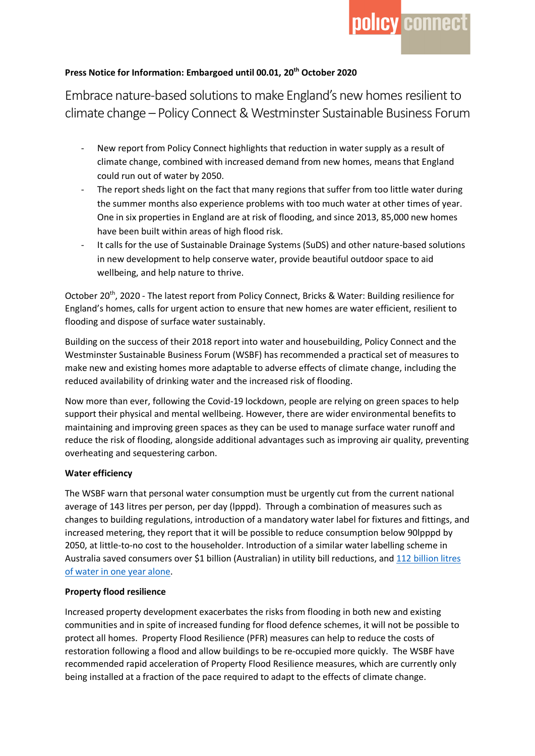# **Press Notice for Information: Embargoed until 00.01, 20th October 2020**

Embrace nature-based solutions to make England's new homes resilient to climate change – Policy Connect & Westminster Sustainable Business Forum

- New report from Policy Connect highlights that reduction in water supply as a result of climate change, combined with increased demand from new homes, means that England could run out of water by 2050.
- The report sheds light on the fact that many regions that suffer from too little water during the summer months also experience problems with too much water at other times of year. One in six properties in England are at risk of flooding, and since 2013, 85,000 new homes have been built within areas of high flood risk.
- It calls for the use of Sustainable Drainage Systems (SuDS) and other nature-based solutions in new development to help conserve water, provide beautiful outdoor space to aid wellbeing, and help nature to thrive.

October 20th, 2020 - The latest report from Policy Connect, Bricks & Water: Building resilience for England's homes, calls for urgent action to ensure that new homes are water efficient, resilient to flooding and dispose of surface water sustainably.

Building on the success of their 2018 report into water and housebuilding, Policy Connect and the Westminster Sustainable Business Forum (WSBF) has recommended a practical set of measures to make new and existing homes more adaptable to adverse effects of climate change, including the reduced availability of drinking water and the increased risk of flooding.

Now more than ever, following the Covid-19 lockdown, people are relying on green spaces to help support their physical and mental wellbeing. However, there are wider environmental benefits to maintaining and improving green spaces as they can be used to manage surface water runoff and reduce the risk of flooding, alongside additional advantages such as improving air quality, preventing overheating and sequestering carbon.

## **Water efficiency**

The WSBF warn that personal water consumption must be urgently cut from the current national average of 143 litres per person, per day (lpppd). Through a combination of measures such as changes to building regulations, introduction of a mandatory water label for fixtures and fittings, and increased metering, they report that it will be possible to reduce consumption below 90lpppd by 2050, at little-to-no cost to the householder. Introduction of a similar water labelling scheme in Australia saved consumers over \$1 billion (Australian) in utility bill reductions, and 112 billion litres of water in one year alone.

#### **Property flood resilience**

Increased property development exacerbates the risks from flooding in both new and existing communities and in spite of increased funding for flood defence schemes, it will not be possible to protect all homes. Property Flood Resilience (PFR) measures can help to reduce the costs of restoration following a flood and allow buildings to be re-occupied more quickly. The WSBF have recommended rapid acceleration of Property Flood Resilience measures, which are currently only being installed at a fraction of the pace required to adapt to the effects of climate change.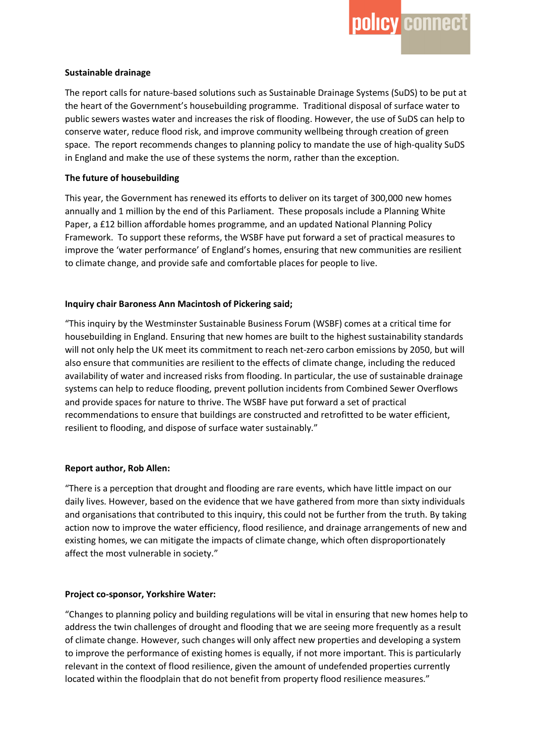### **Sustainable drainage**

The report calls for nature-based solutions such as Sustainable Drainage Systems (SuDS) to be put at the heart of the Government's housebuilding programme. Traditional disposal of surface water to public sewers wastes water and increases the risk of flooding. However, the use of SuDS can help to conserve water, reduce flood risk, and improve community wellbeing through creation of green space. The report recommends changes to planning policy to mandate the use of high-quality SuDS in England and make the use of these systems the norm, rather than the exception.

### **The future of housebuilding**

This year, the Government has renewed its efforts to deliver on its target of 300,000 new homes annually and 1 million by the end of this Parliament. These proposals include a Planning White Paper, a £12 billion affordable homes programme, and an updated National Planning Policy Framework. To support these reforms, the WSBF have put forward a set of practical measures to improve the 'water performance' of England's homes, ensuring that new communities are resilient to climate change, and provide safe and comfortable places for people to live.

## **Inquiry chair Baroness Ann Macintosh of Pickering said;**

"This inquiry by the Westminster Sustainable Business Forum (WSBF) comes at a critical time for housebuilding in England. Ensuring that new homes are built to the highest sustainability standards will not only help the UK meet its commitment to reach net-zero carbon emissions by 2050, but will also ensure that communities are resilient to the effects of climate change, including the reduced availability of water and increased risks from flooding. In particular, the use of sustainable drainage systems can help to reduce flooding, prevent pollution incidents from Combined Sewer Overflows and provide spaces for nature to thrive. The WSBF have put forward a set of practical recommendations to ensure that buildings are constructed and retrofitted to be water efficient, resilient to flooding, and dispose of surface water sustainably."

#### **Report author, Rob Allen:**

"There is a perception that drought and flooding are rare events, which have little impact on our daily lives. However, based on the evidence that we have gathered from more than sixty individuals and organisations that contributed to this inquiry, this could not be further from the truth. By taking action now to improve the water efficiency, flood resilience, and drainage arrangements of new and existing homes, we can mitigate the impacts of climate change, which often disproportionately affect the most vulnerable in society."

## **Project co-sponsor, Yorkshire Water:**

"Changes to planning policy and building regulations will be vital in ensuring that new homes help to address the twin challenges of drought and flooding that we are seeing more frequently as a result of climate change. However, such changes will only affect new properties and developing a system to improve the performance of existing homes is equally, if not more important. This is particularly relevant in the context of flood resilience, given the amount of undefended properties currently located within the floodplain that do not benefit from property flood resilience measures."